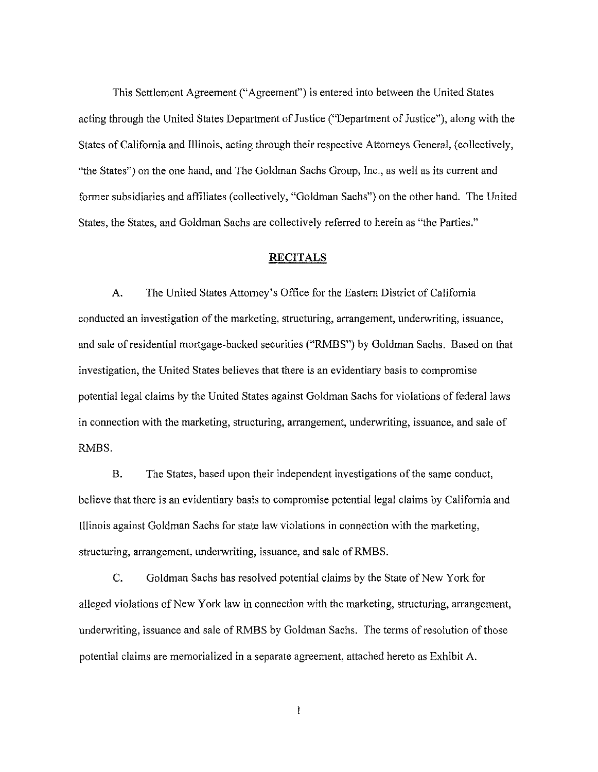This Settlement Agreement(" Agreement") is entered into between the United States acting through the United States Department of Justice ("Department of Justice"), along with the States of California and Illinois, acting through their respective Attorneys General, (collectively, "the States") on the one hand, and The Goldman Sachs Group, Inc., as well as its current and former subsidiaries and affiliates (collectively, "Goldman Sachs") on the other hand. The United States, the States, and Goldman Sachs are collectively referred to herein as "the Parties."

## **RECITALS**

A. The United States Attorney's Office for the Eastern District of California conducted an investigation of the marketing, structuring, arrangement, underwriting, issuance, and sale of residential mortgage-backed securities ("RMBS") by Goldman Sachs. Based on that investigation, the United States believes that there is an evidentiary basis to compromise potential legal claims by the United States against Goldman Sachs for violations of federal laws in connection with the marketing, structuring, arrangement, underwriting, issuance, and sale of RMBS.

B. The States, based upon their independent investigations of the same conduct, believe that there is an evidentiary basis to compromise potential legal claims by California and !llinois against Goldman Sachs for state law violations in connection with the marketing, structuring, arrangement, underwriting, issuance, and sale ofRMBS.

C. Goldman Sachs has resolved potential claims by the State of New York for alleged violations of New York law in connection with the marketing, structuring, arrangement, underwriting, issuance and sale of RMBS by Goldman Sachs. The terms of resolution of those potential claims are memorialized in a separate agreement, attached hereto as Exhibit A.

 $\mathbb{I}$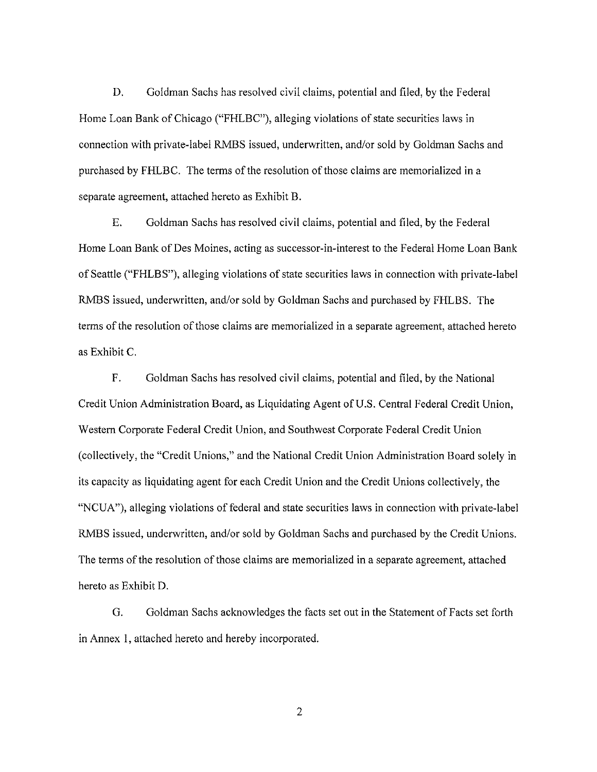D. Goldman Sachs has resolved civil claims, potential and filed, by the Federal Home Loan Bank of Chicago ("FHLBC"), alleging violations of state securities laws in connection with private-label RMBS issued, underwritten, and/or sold by Goldman Sachs and purchased by FHLBC. The terms of the resolution of those claims are memorialized in a separate agreement, attached hereto as Exhibit B.

E. Goldman Sachs has resolved civil claims, potential and filed, by the Federal Home Loan Bank of Des Moines, acting as successor-in-interest to the Federal Home Loan Bank of Seattle ("FHLBS"), alleging violations of state securities laws in connection with private-label RMBS issued, underwritten, and/or sold by Goldman Sachs and purchased by FHLBS. The terms of the resolution of those claims are memorialized in a separate agreement, attached hereto as Exhibit C.

F. Goldman Sachs has resolved civil claims, potential and filed, by the National Credit Union Administration Board, as Liquidating Agent of U.S. Central Federal Credit Union, Western Corporate Federal Credit Union, and Southwest Corporate Federal Credit Union (collectively, the "Credit Unions," and the National Credit Union Administration Board solely in its capacity as liquidating agent for each Credit Union and the Credit Unions collectively, the "NCUA"), alleging violations of federal and state securities laws in connection with private-label RMBS issued, underwritten, and/or sold by Goldman Sachs and purchased by the Credit Unions. The terms of the resolution of those claims are memorialized in a separate agreement, attached hereto as Exhibit D.

G. Goldman Sachs acknowledges the facts set out in the Statement of Facts set forth in Annex 1, attached hereto and hereby incorporated.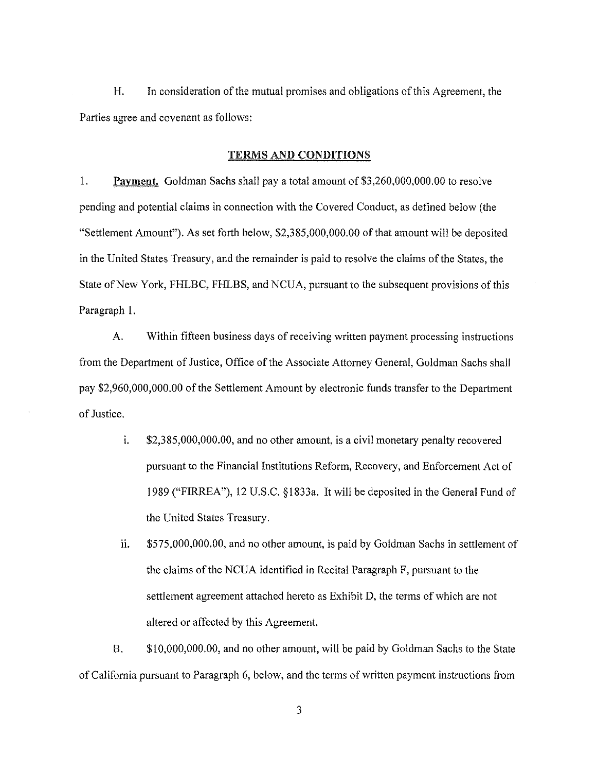H. In consideration of the mutual promises and obligations of this Agreement, the Parties agree and covenant as follows:

## TERMS AND CONDITIONS

1. Payment. Goldman Sachs shall pay a total amount of \$3,260,000,000.00 to resolve pending and potential claims in connection with the Covered Conduct, as defined below (the "Settlement Amount"). As set forth below, \$2,385,000,000.00 of that amount will be deposited in the United States Treasury, and the remainder is paid to resolve the claims of the States, the State of New York, FHLBC, FHLBS, and NCUA, pursuant to the subsequent provisions of this Paragraph 1.

A. Within fifteen business days of receiving written payment processing instructions from the Department of Justice, Office of the Associate Attorney General, Goldman Sachs shall pay \$2,960,000,000.00 of the Settlement Amount by electronic funds transfer to the Department of Justice.

- i. \$2,385,000,000.00, and no other amount, is a civil monetary penalty recovered pursuant to the Financial Institutions Reform, Recovery, and Enforcement Act of 1989 ("FIRREA"), 12 U.S.C. §1833a. It will be deposited in the General Fund of the United States Treasury.
- 11. \$575,000,000.00, and no other amount, is paid by Goldman Sachs in settlement of the claims of the NCUA identified in Recital Paragraph F, pursuant to the settlement agreement attached hereto as Exhibit D, the terms of which are not altered or affected by this Agreement.

B. \$10,000,000.00, and no other amount, will be paid by Goldman Sachs to the State of California pursuant to Paragraph 6, below, and the terms of written payment instructions from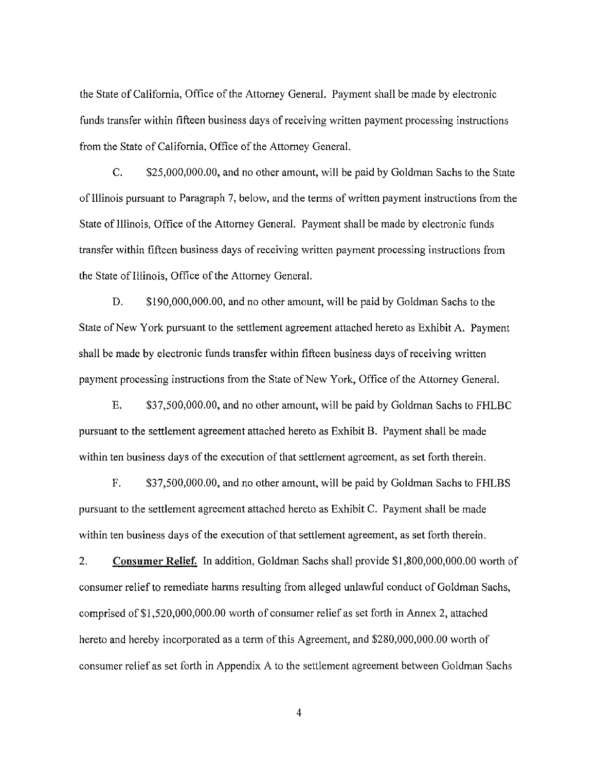the State of California, Office of the Attorney General. Payment shall be made by electronic funds transfer within fifteen business days of receiving written payment processing instructions from the State of California, Office of the Attorney General.

C. \$25,000,000.00, and no other amount, will be paid by Goldman Sachs to the State of Illinois pursuant to Paragraph 7, below, and the terms of written payment instructions from the State of Illinois, Office of the Attorney General. Payment shall be made by electronic funds transfer within fifteen business days of receiving written payment processing instructions from the State of Illinois, Office of the Attorney General.

D. \$190,000,000.00, and no other amount, will be paid by Goldman Sachs to the State of New York pursuant to the settlement agreement attached hereto as Exhibit A. Payment shall be made by electronic funds transfer within fifteen business days of receiving written payment processing instructions from the State of New York, Office of the Attorney General.

E. \$37,500,000.00, and no other amount, will be paid by Goldman Sachs to FHLBC pursuant to the settlement agreement attached hereto as Exhibit B. Payment shall be made within ten business days of the execution of that settlement agreement, as set forth therein.

F. \$37,500,000.00, and no other amount, will be paid by Goldman Sachs to FHLBS pursuant to the settlement agreement attached hereto as Exhibit C. Payment shall be made within ten business days of the execution of that settlement agreement, as set forth therein.

2. Consumer Relief. In addition, Goldman Sachs shall provide \$1,800,000,000.00 worth of consumer relief to remediate harms resulting from alleged unlawful conduct of Goldman Sachs, comprised of \$1,520,000,000.00 worth of consumer relief as set forth in Annex 2, attached hereto and hereby incorporated as a term of this Agreement, and \$280,000,000.00 worth of consumer relief as set forth in Appendix A to the settlement agreement between Goldman Sachs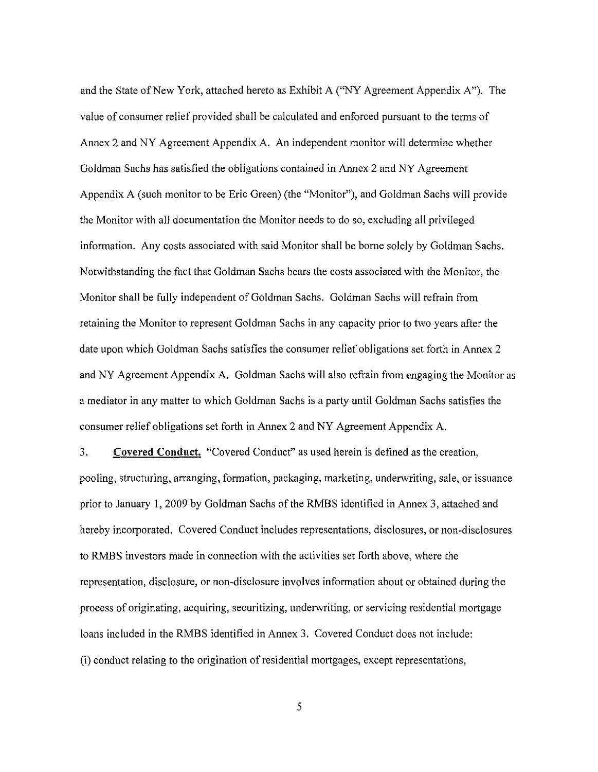and the State of New York, attached hereto as Exhibit A ("NY Agreement Appendix A"). The value of consumer relief provided shall be calculated and enforced pursuant to the terms of Annex 2 and NY Agreement Appendix A. An independent monitor will determine whether Goldman Sachs has satisfied the obligations contained in Annex 2 and NY Agreement Appendix A (such monitor to be Eric Green) (the "Monitor"), and Goldman Sachs will provide the Monitor with all documentation the Monitor needs to do so, excluding all privileged information. Any costs associated with said Monitor shall be borne solely by Goldman Sachs. Notwithstanding the fact that Goldman Sachs bears the costs associated with the Monitor, the Monitor shall be fully independent of Goldman Sachs. Goldman Sachs will refrain from retaining the Monitor to represent Goldman Sachs in any capacity prior to two years after the date upon which Goldman Sachs satisfies the consumer relief obligations set forth in Annex 2 and NY Agreement Appendix A. Goldman Sachs will also refrain from engaging the Monitor as a mediator in any matter to which Goldman Sachs is a party until Goldman Sachs satisfies the consumer relief obligations set forth in Annex 2 and NY Agreement Appendix A.

3. Covered Conduct. "Covered Conduct" as used herein is defined as the creation, pooling, structuring, arranging, formation, packaging, marketing, underwriting, sale, or issuance prior to January I, 2009 by Goldman Sachs of the RMBS identified in Annex 3, attached and hereby incorporated. Covered Conduct includes representations, disclosures, or non-disclosures to RMBS investors made in connection with the activities set forth above, where the representation, disclosure, or non-disclosure involves information about or obtained during the process of originating, acquiring, securitizing, underwriting, or servicing residential mortgage loans included in the RMBS identified in Annex 3. Covered Conduct does not include: (i) conduct relating to the origination of residential mortgages, except representations,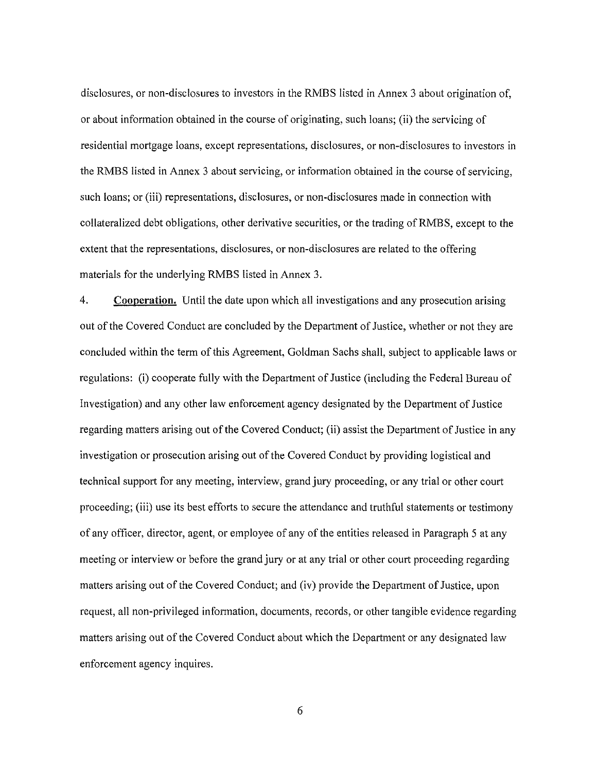disclosures, or non-disclosures to investors in the RMBS listed in Annex 3 about origination of, or about information obtained in the course of originating, such loans; (ii) the servicing of residential mortgage loans, except representations, disclosures, or non-disclosures to investors in the RMBS listed in Annex 3 about servicing, or information obtained in the course of servicing, such loans; or (iii) representations, disclosures, or non-disclosures made in connection with collateralized debt obligations, other derivative securities, or the trading of RMBS, except to the extent that the representations, disclosures, or non-disclosures are related to the offering materials for the underlying RMBS listed in Annex 3.

4. Cooperation. Until the date upon which all investigations and any prosecution arising out of the Covered Conduct are concluded by the Department of Justice, whether or not they are concluded within the term of this Agreement, Goldman Sachs shall, subject to applicable laws or regulations: (i) cooperate fully with the Department of Justice (including the Federal Bureau of Investigation) and any other law enforcement agency designated by the Department of Justice regarding matters arising out of the Covered Conduct; (ii) assist the Department of Justice in any investigation or prosecution arising out of the Covered Conduct by providing logistical and technical support for any meeting, interview, grand jury proceeding, or any trial or other court proceeding; (iii) use its best efforts to secure the attendance and truthful statements or testimony of any officer, director, agent, or employee of any of the entities released in Paragraph 5 at any meeting or interview or before the grand jury or at any trial or other court proceeding regarding matters arising out of the Covered Conduct; and (iv) provide the Department of Justice, upon request, all non-privileged information, documents, records, or other tangible evidence regarding matters arising out of the Covered Conduct about which the Department or any designated law enforcement agency inquires.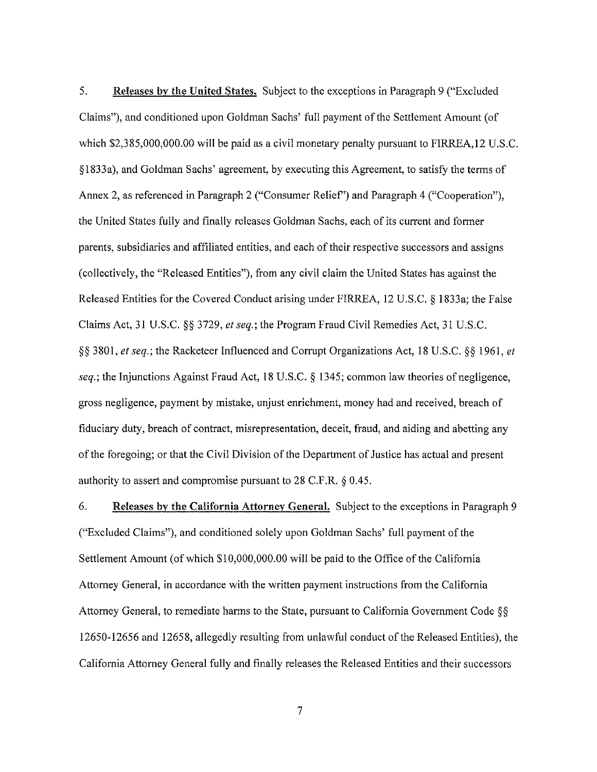5. Releases by the United States. Subject to the exceptions in Paragraph 9 ("Excluded Claims"), and conditioned upon Goldman Sachs' full payment of the Settlement Amount (of which \$2,385,000,000.00 will be paid as a civil monetary penalty pursuant to FIRREA, 12 U.S.C. §1833a), and Goldman Sachs' agreement, by executing this Agreement, to satisfy the terms of Annex 2, as referenced in Paragraph 2 ("Consumer Relief') and Paragraph 4 ("Cooperation"), the United States fully and finally releases Goldman Sachs, each of its current and former parents, subsidiaries and affiliated entities, and each of their respective successors and assigns (collectively, the "Released Entities"), from any civil claim the United States has against the Released Entities for the Covered Conduct arising under FIRREA, 12 U.S.C. § 1833a; the False Claims Act, 31 U.S.C. §§ 3729, *et seq.;* the Program Fraud Civil Remedies Act, 31 U.S.C. §§ 3801, *et seq.;* the Racketeer Influenced and Corrupt Organizations Act, 18 U.S.C. §§ 1961, *et seq.;* the Injunctions Against Fraud Act, 18 U.S.C. § 1345; common law theories of negligence, gross negligence, payment by mistake, unjust enrichment, money had and received, breach of fiduciary duty, breach of contract, misrepresentation, deceit, fraud, and aiding and abetting any of the foregoing; or that the Civil Division of the Department of Justice has actual and present authority to assert and compromise pursuant to 28 C.F.R. § 0.45.

6. Releases by the California Attorney General. Subject to the exceptions in Paragraph 9 ("Excluded Claims"), and conditioned solely upon Goldman Sachs' full payment of the Settlement Amount (of which \$10,000,000.00 will be paid to the Office of the California Attorney General, in accordance with the written payment instructions from the California Attorney General, to remediate harms to the State, pursuant to California Government Code § *§*  12650-12656 and 12658, allegedly resulting from unlawful conduct of the Released Entities), the California Attorney General fully and finally releases the Released Entities and their successors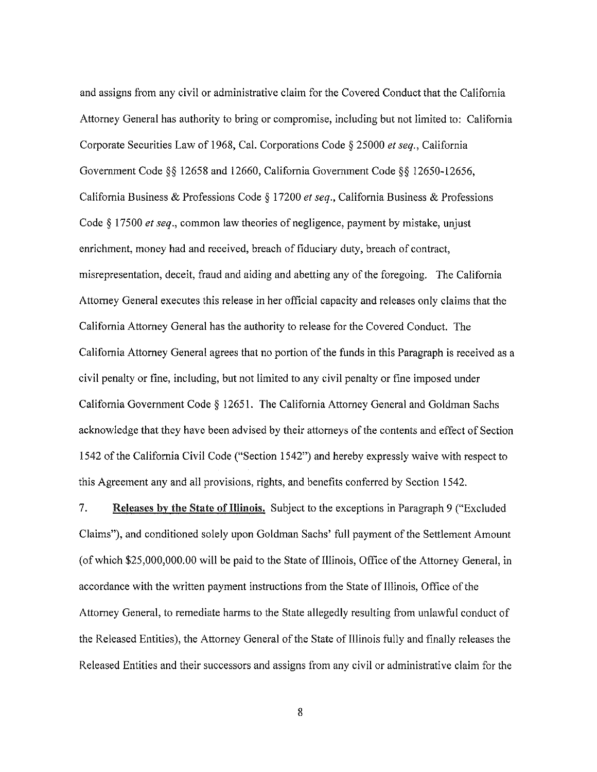and assigns from any civil or administrative claim for the Covered Conduct that the California Attorney General has authority to bring or compromise, including but not limited to: California Corporate Securities Law of 1968, Cal. Corporations Code § 25000 *et seq.,* California Government Code§§ 12658 and 12660, California Government Code§§ 12650-12656, California Business & Professions Code § 17200 *et seq.,* California Business & Professions Code§ 17500 *et seq.,* common law theories of negligence, payment by mistake, unjust enrichment, money had and received, breach of fiduciary duty, breach of contract, misrepresentation, deceit, fraud and aiding and abetting any of the foregoing. The California Attorney General executes this release in her official capacity and releases only claims that the California Attorney General has the authority to release for the Covered Conduct. The California Attorney General agrees that no portion of the funds in this Paragraph is received as a civil penalty or fine, including, but not limited to any civil penalty or fine imposed under California Government Code § 12651. The California Attorney General and Goldman Sachs acknowledge that they have been advised by their attorneys of the contents and effect of Section 1542 of the California Civil Code ("Section 1542") and hereby expressly waive with respect to this Agreement any and all provisions, rights, and benefits conferred by Section 1542.

7. Releases by the State of Illinois. Subject to the exceptions in Paragraph 9 ("Excluded Claims"), and conditioned solely upon Goldman Sachs' full payment of the Settlement Amount (of which \$25,000,000.00 will be paid to the State of Illinois, Office of the Attorney General, in accordance with the written payment instructions from the State of Illinois, Office of the Attorney General, to remediate harms to the State allegedly resulting from unlawful conduct of the Released Entities), the Attorney General of the State of Illinois fully and finally releases the Released Entities and their successors and assigns from any civil or administrative claim for the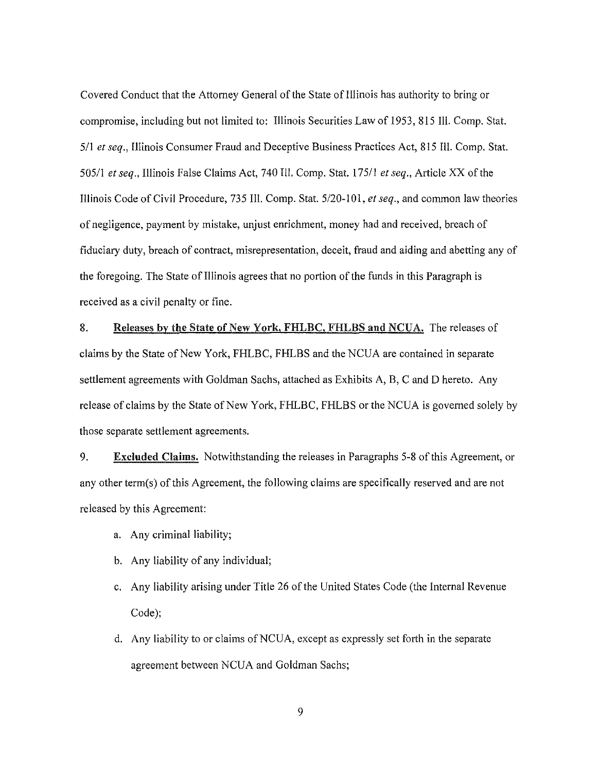Covered Conduct that the Attorney General of the State of Illinois has authority to bring or compromise, including but not limited to: Illinois Securities Law of 1953, 815 Ill. Comp. Stat. <sup>511</sup>*et seq.,* Illinois Consumer Fraud and Deceptive Business Practices Act, 815 Ill. Comp. Stat. 505/1 *et seq.,* Illinois False Claims Act, 740 Ill. Comp. Stat. 175/1 *et seq.,* Article XX of the Illinois Code of Civil Procedure, 735 Ill. Comp. Stat. 5/20-101, *et seq.,* and common law theories of negligence, payment by mistake, unjust enrichment, money had and received, breach of fiduciary duty, breach of contract, misrepresentation, deceit, fraud and aiding and abetting any of the foregoing. The State of Illinois agrees that no portion of the funds in this Paragraph is received as a civil penalty or fine.

8. Releases by the State of New York, FHLBC, FHLBS and NCUA. The releases of claims by the State of New York, FHLBC, FHLBS and the NCUA are contained in separate settlement agreements with Goldman Sachs, attached as Exhibits A, B, C and D hereto. Any release of claims by the State of New York, FHLBC, FHLBS or the NCUA is governed solely by those separate settlement agreements.

9. Excluded Claims. Notwithstanding the releases in Paragraphs 5-8 of this Agreement, or any other term(s) of this Agreement, the following claims are specifically reserved and are not released by this Agreement:

- a. Any criminal liability;
- b. Any liability of any individual;
- c. Any liability arising under Title 26 of the United States Code (the Internal Revenue Code);
- d. Any liability to or claims ofNCUA, except as expressly set forth in the separate agreement between NCUA and Goldman Sachs;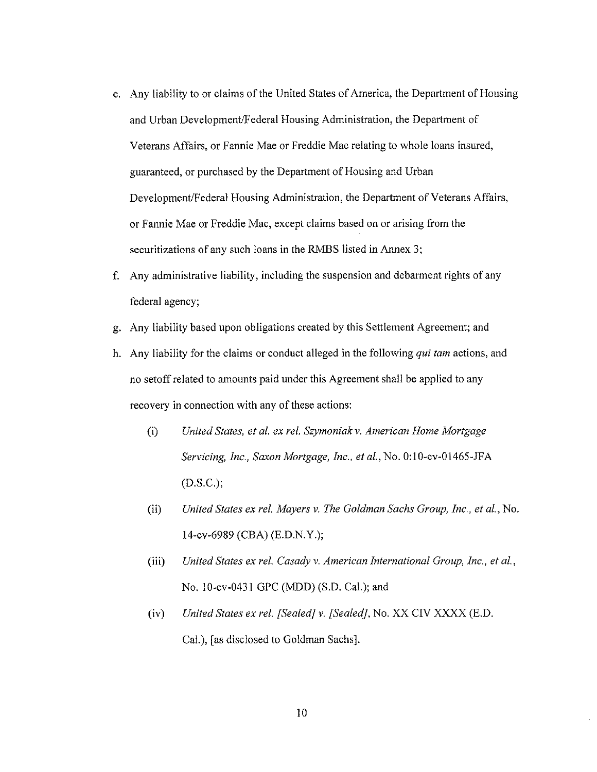- e. Any liability to or claims of the United States of America, the Department of Housing and Urban Development/Federal Housing Administration, the Department of Veterans Affairs, or Fannie Mae or Freddie Mac relating to whole loans insured, guaranteed, or purchased by the Department of Housing and Urban Development/Federal Housing Administration, the Department of Veterans Affairs, or Fannie Mae or Freddie Mac, except claims based on or arising from the securitizations of any such loans in the RMBS listed in Annex 3;
- f. Any administrative liability, including the suspension and debarment rights of any federal agency;
- g. Any liability based upon obligations created by this Settlement Agreement; and
- h. Any liability for the claims or conduct alleged in the following *qui tam* actions, and no setoff related to amounts paid under this Agreement shall be applied to any recovery in connection with any of these actions:
	- (i) *United States, et al. ex rel. Szymoniak v. American Home Mortgage Servicing, Inc., Saxon Mortgage, Inc., et al., No. 0:10-cv-01465-JFA* (D.S.C.);
	- (ii) *United States ex rel. Mayers v. The Goldman Sachs Group, Inc., et al.,* No. 14-cv-6989 (CBA) (E.D.N.Y.);
	- (iii) *United States ex rel. Casady v. American International Group, Inc., et al.,*  No. 10-cv-0431 GPC (MDD) (S.D. Cal.); and
	- (iv) *United States ex rel. [Sealed} v. [Sealed],* No. XX CIV XXXX (E.D. Cal.), [as disclosed to Goldman Sachs].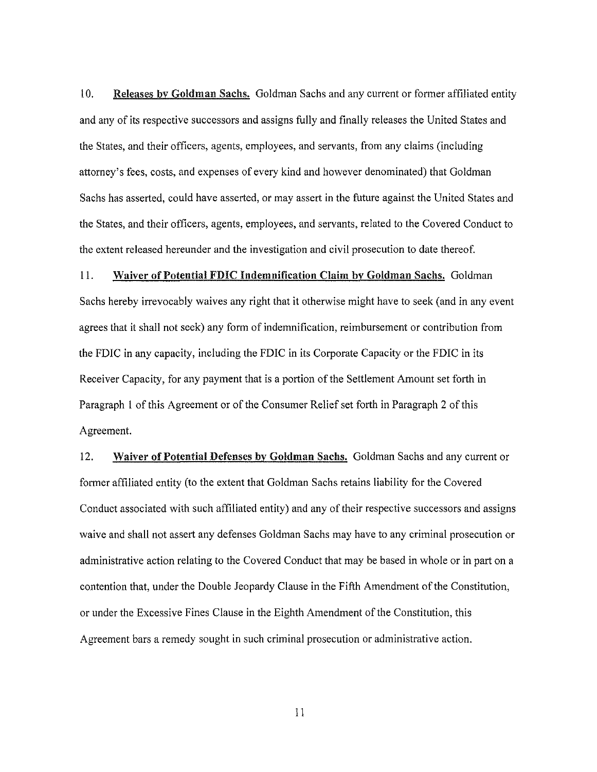10. Releases by Goldman Sachs. Goldman Sachs and any current or former affiliated entity and any of its respective successors and assigns fully and finally releases the United States and the States, and their officers, agents, employees, and servants, from any claims (including attorney's fees, costs, and expenses of every kind and however denominated) that Goldman Sachs has asserted, could have asserted, or may assert in the future against the United States and the States, and their officers, agents, employees, and servants, related to the Covered Conduct to the extent released hereunder and the investigation and civil prosecution to date thereof.

11. Waiver of Potential FDIC Indemnification Claim by Goldman Sachs. Goldman Sachs hereby irrevocably waives any right that it otherwise might have to seek (and in any event agrees that it shall not seek) any form of indemnification, reimbursement or contribution from the FDIC in any capacity, including the FDIC in its Corporate Capacity or the FDIC in its Receiver Capacity, for any payment that is a portion of the Settlement Amount set forth in Paragraph I of this Agreement or of the Consumer Relief set forth in Paragraph 2 of this Agreement.

12. Waiver of Potential Defenses by Goldman Sachs. Goldman Sachs and any current or former affiliated entity (to the extent that Goldman Sachs retains liability for the Covered Conduct associated with such affiliated entity) and any of their respective successors and assigns waive and shall not assert any defenses Goldman Sachs may have to any criminal prosecution or administrative action relating to the Covered Conduct that may be based in whole or in part on a contention that, under the Double Jeopardy Clause in the Fifth Amendment of the Constitution, or under the Excessive Fines Clause in the Eighth Amendment of the Constitution, this Agreement bars a remedy sought in such criminal prosecution or administrative action.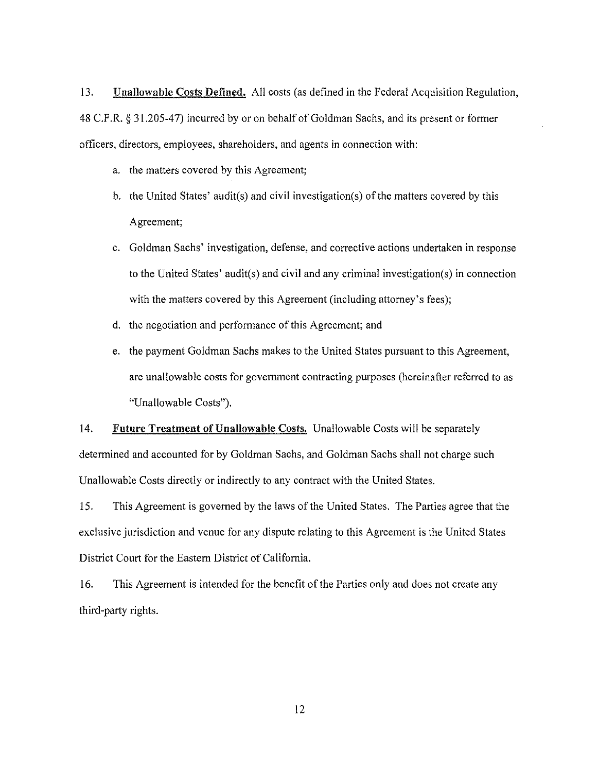13. Unallowable Costs Defined. All costs (as defined in the Federal Acquisition Regulation, 48 C.F.R. *§* 31.205-47) incurred by or on behalf of Goldman Sachs, and its present or former officers, directors, employees, shareholders, and agents in connection with:

- a. the matters covered by this Agreement;
- b. the United States' audit(s) and civil investigation(s) of the matters covered by this Agreement;
- c. Goldman Sachs' investigation, defense, and corrective actions undertaken in response to the United States' audit(s) and civil and any criminal investigation(s) in connection with the matters covered by this Agreement (including attorney's fees);
- d. the negotiation and performance of this Agreement; and
- e. the payment Goldman Sachs makes to the United States pursuant to this Agreement, are unallowable costs for government contracting purposes (hereinafter referred to as "Unallowable Costs").

14. Future Treatment of Unallowable Costs. Unallowable Costs will be separately determined and accounted for by Goldman Sachs, and Goldman Sachs shall not charge such Unallowable Costs directly or indirectly to any contract with the United States.

15. This Agreement is governed by the laws of the United States. The Parties agree that the exclusive jurisdiction and venue for any dispute relating to this Agreement is the United States District Court for the Eastern District of California.

16. This Agreement is intended for the benefit of the Parties only and does not create any third-party rights.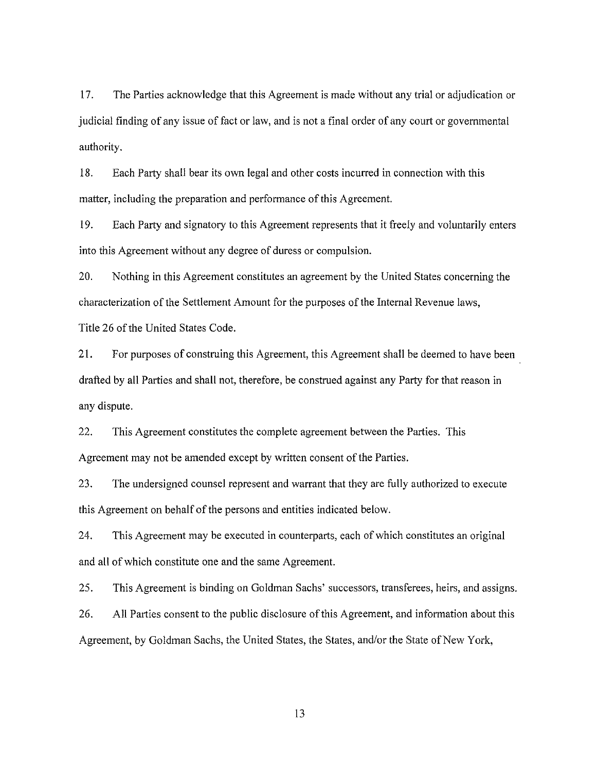17. The Parties acknowledge that this Agreement is made without any trial or adjudication or judicial finding of any issue of fact or law, and is not a final order of any court or governmental authority.

18. Each Party shall bear its own legal and other costs incurred in connection with this matter, including the preparation and performance of this Agreement.

19. Each Party and signatory to this Agreement represents that it freely and voluntarily enters into this Agreement without any degree of duress or compulsion.

20. Nothing in this Agreement constitutes an agreement by the United States concerning the characterization of the Settlement Amount for the purposes of the Internal Revenue laws, Title 26 of the United States Code.

21. For purposes of construing this Agreement, this Agreement shall be deemed to have been drafted by all Parties and shall not, therefore, be construed against any Party for that reason in any dispute.

22. This Agreement constitutes the complete agreement between the Parties. This Agreement may not be amended except by written consent of the Parties.

23. The undersigned counsel represent and warrant that they are fully authorized to execute this Agreement on behalf of the persons and entities indicated below.

24. This Agreement may be executed in counterparts, each of which constitutes an original and all of which constitute one and the same Agreement.

25. This Agreement is binding on Goldman Sachs' successors, transferees, heirs, and assigns.

26. All Parties consent to the public disclosure of this Agreement, and information about this Agreement, by Goldman Sachs, the United States, the States, and/or the State of New York,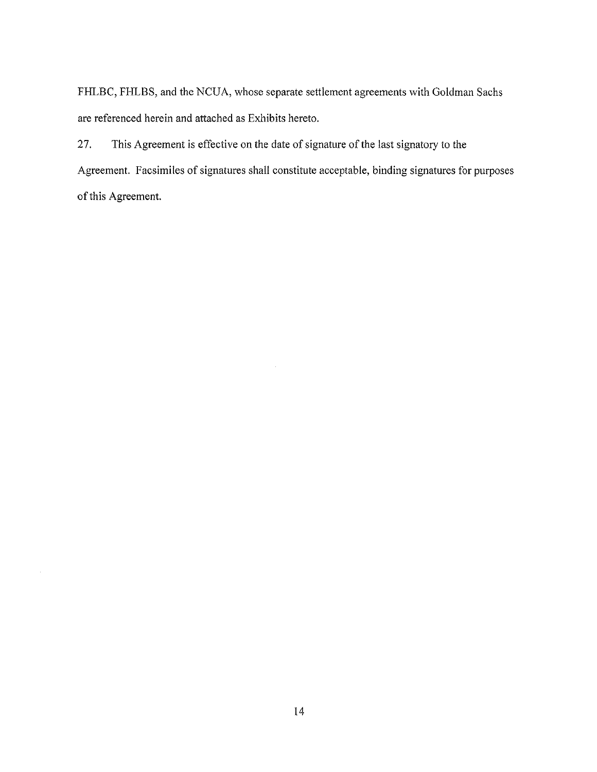FHLBC, FHLBS, and the NCUA, whose separate settlement agreements with Goldman Sachs are referenced herein and attached as Exhibits hereto.

27. This Agreement is effective on the date of signature of the last signatory to the Agreement. Facsimiles of signatures shall constitute acceptable, binding signatures for purposes of this Agreement.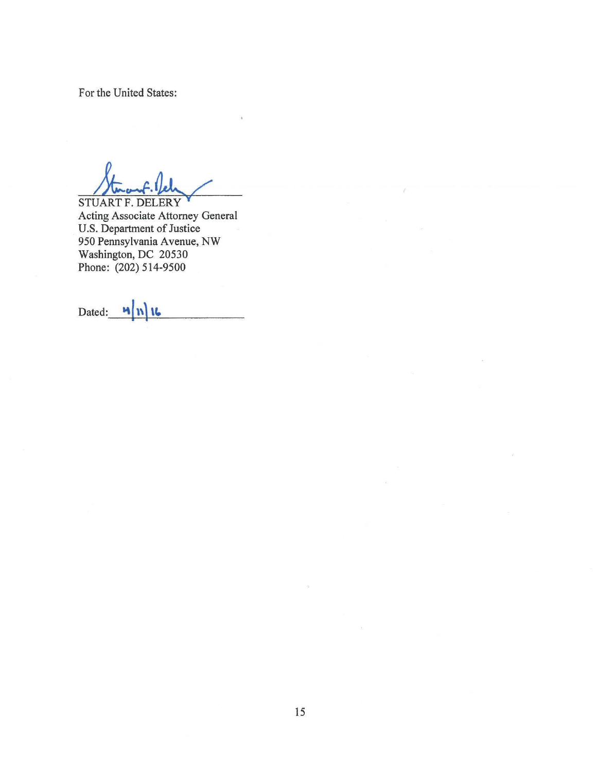For the United States:

STUART F. DELERY Acting Associate Attorney General U.S. Department of Justice 950 Pennsylvania Avenue, NW Washington, DC 20530 Phone: (202) 514-9500

Dated:  $\n **M** \n **N** \n **U**$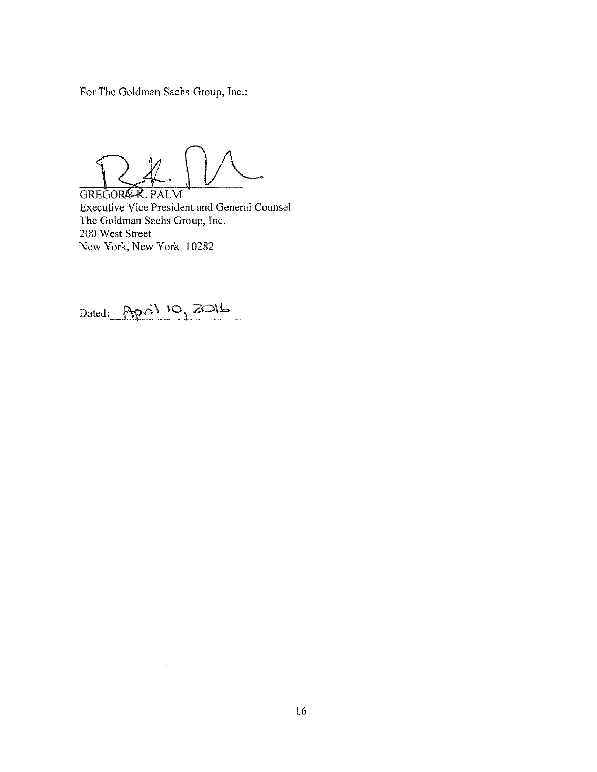For The Goldman Sachs Group, Inc.:

Executive Vice President and General Counsel GREGOR&R. PALM The Goldman Sachs Group, Inc. 200 West Street New York, New York 10282

Dated: April 10, 2016

 $\sim$ 

 $\hat{\mathcal{A}}$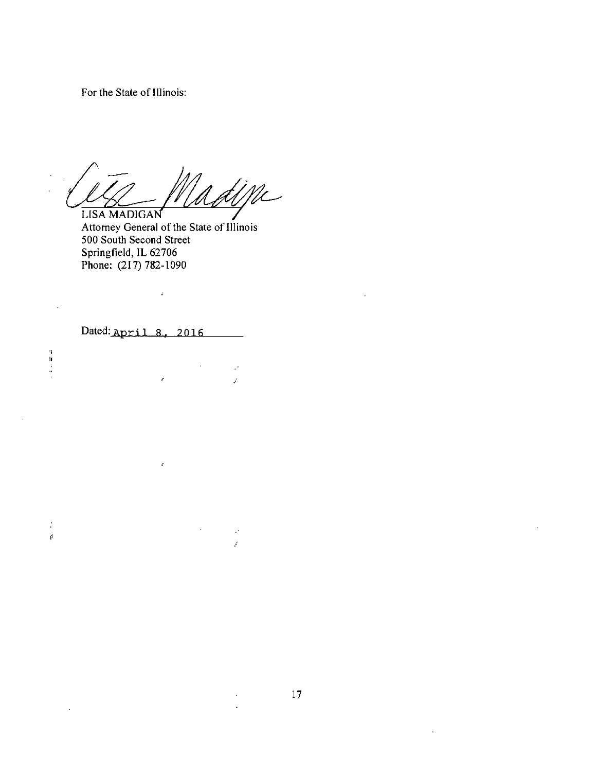For the State of Illinois:

dine LISA MADIGAN

Attorney General of the State of Illinois 500 South Second Street Springfield, IL 62706 Phone: (217) 782-1090

Dated: April 8, 2016

 $\overline{a}$ 

「静ます」

 $\frac{1}{2}$ 

 $\mathfrak{g}^{\pm}$ 

 $\sim$ 

 $\hat{\mathcal{L}}$ 

 $\hat{\mathcal{E}}$ 

 $\pmb{\varepsilon}$ 

 $\bar{z}$ 

 $\mathbb{R}^3$ 

ý.

 $\mathbb{R}^2$ 

ý.

 $\ddot{\phantom{a}}$ 

 $\mathcal{L}$